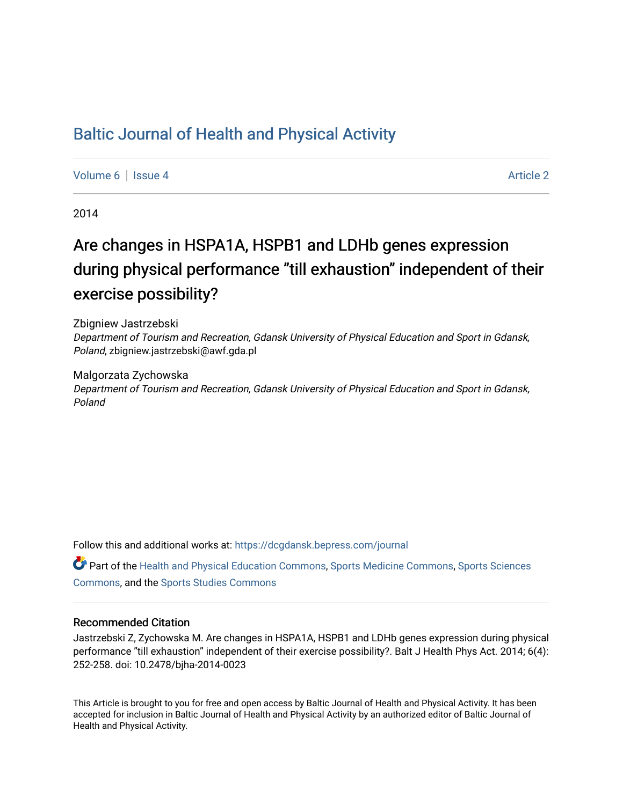# [Baltic Journal of Health and Physical Activity](https://dcgdansk.bepress.com/journal)

[Volume 6](https://dcgdansk.bepress.com/journal/vol6) | [Issue 4](https://dcgdansk.bepress.com/journal/vol6/iss4) Article 2

2014

# Are changes in HSPA1A, HSPB1 and LDHb genes expression during physical performance "till exhaustion" independent of their exercise possibility?

Zbigniew Jastrzebski Department of Tourism and Recreation, Gdansk University of Physical Education and Sport in Gdansk, Poland, zbigniew.jastrzebski@awf.gda.pl

Malgorzata Zychowska Department of Tourism and Recreation, Gdansk University of Physical Education and Sport in Gdansk, Poland

Follow this and additional works at: [https://dcgdansk.bepress.com/journal](https://dcgdansk.bepress.com/journal?utm_source=dcgdansk.bepress.com%2Fjournal%2Fvol6%2Fiss4%2F2&utm_medium=PDF&utm_campaign=PDFCoverPages)

Part of the [Health and Physical Education Commons](http://network.bepress.com/hgg/discipline/1327?utm_source=dcgdansk.bepress.com%2Fjournal%2Fvol6%2Fiss4%2F2&utm_medium=PDF&utm_campaign=PDFCoverPages), [Sports Medicine Commons,](http://network.bepress.com/hgg/discipline/1331?utm_source=dcgdansk.bepress.com%2Fjournal%2Fvol6%2Fiss4%2F2&utm_medium=PDF&utm_campaign=PDFCoverPages) [Sports Sciences](http://network.bepress.com/hgg/discipline/759?utm_source=dcgdansk.bepress.com%2Fjournal%2Fvol6%2Fiss4%2F2&utm_medium=PDF&utm_campaign=PDFCoverPages) [Commons](http://network.bepress.com/hgg/discipline/759?utm_source=dcgdansk.bepress.com%2Fjournal%2Fvol6%2Fiss4%2F2&utm_medium=PDF&utm_campaign=PDFCoverPages), and the [Sports Studies Commons](http://network.bepress.com/hgg/discipline/1198?utm_source=dcgdansk.bepress.com%2Fjournal%2Fvol6%2Fiss4%2F2&utm_medium=PDF&utm_campaign=PDFCoverPages) 

#### Recommended Citation

Jastrzebski Z, Zychowska M. Are changes in HSPA1A, HSPB1 and LDHb genes expression during physical performance "till exhaustion" independent of their exercise possibility?. Balt J Health Phys Act. 2014; 6(4): 252-258. doi: 10.2478/bjha-2014-0023

This Article is brought to you for free and open access by Baltic Journal of Health and Physical Activity. It has been accepted for inclusion in Baltic Journal of Health and Physical Activity by an authorized editor of Baltic Journal of Health and Physical Activity.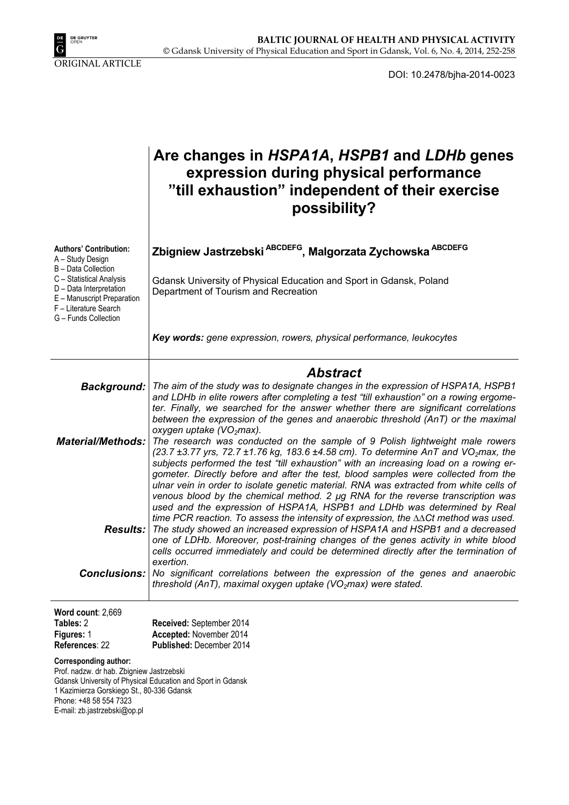

DOI: 10.2478/bjha-2014-0023

|                                                                                                                                                                                                                                                 | Are changes in HSPA1A, HSPB1 and LDHb genes<br>expression during physical performance<br>"till exhaustion" independent of their exercise<br>possibility?                                                                                                                                                                                                                                                                                                                                                                                                                                                                                                                                                                   |  |
|-------------------------------------------------------------------------------------------------------------------------------------------------------------------------------------------------------------------------------------------------|----------------------------------------------------------------------------------------------------------------------------------------------------------------------------------------------------------------------------------------------------------------------------------------------------------------------------------------------------------------------------------------------------------------------------------------------------------------------------------------------------------------------------------------------------------------------------------------------------------------------------------------------------------------------------------------------------------------------------|--|
| <b>Authors' Contribution:</b><br>A - Study Design<br>B - Data Collection                                                                                                                                                                        | Zbigniew Jastrzebski ABCDEFG, Malgorzata Zychowska ABCDEFG                                                                                                                                                                                                                                                                                                                                                                                                                                                                                                                                                                                                                                                                 |  |
| C - Statistical Analysis<br>D - Data Interpretation<br>E - Manuscript Preparation<br>F - Literature Search<br>G - Funds Collection                                                                                                              | Gdansk University of Physical Education and Sport in Gdansk, Poland<br>Department of Tourism and Recreation                                                                                                                                                                                                                                                                                                                                                                                                                                                                                                                                                                                                                |  |
|                                                                                                                                                                                                                                                 | Key words: gene expression, rowers, physical performance, leukocytes                                                                                                                                                                                                                                                                                                                                                                                                                                                                                                                                                                                                                                                       |  |
|                                                                                                                                                                                                                                                 | <b>Abstract</b>                                                                                                                                                                                                                                                                                                                                                                                                                                                                                                                                                                                                                                                                                                            |  |
|                                                                                                                                                                                                                                                 | Background:   The aim of the study was to designate changes in the expression of HSPA1A, HSPB1<br>and LDHb in elite rowers after completing a test "till exhaustion" on a rowing ergome-<br>ter. Finally, we searched for the answer whether there are significant correlations<br>between the expression of the genes and anaerobic threshold (AnT) or the maximal<br>oxygen uptake (VO <sub>2</sub> max).                                                                                                                                                                                                                                                                                                                |  |
| <b>Material/Methods:</b>                                                                                                                                                                                                                        | The research was conducted on the sample of 9 Polish lightweight male rowers<br>(23.7 ±3.77 yrs, 72.7 ±1.76 kg, 183.6 ±4.58 cm). To determine AnT and VO <sub>2</sub> max, the<br>subjects performed the test "till exhaustion" with an increasing load on a rowing er-<br>gometer. Directly before and after the test, blood samples were collected from the<br>ulnar vein in order to isolate genetic material. RNA was extracted from white cells of<br>venous blood by the chemical method. 2 µg RNA for the reverse transcription was<br>used and the expression of HSPA1A, HSPB1 and LDHb was determined by Real<br>time PCR reaction. To assess the intensity of expression, the $\Delta\Delta$ Ct method was used. |  |
|                                                                                                                                                                                                                                                 | <b>Results:</b> The study showed an increased expression of HSPA1A and HSPB1 and a decreased<br>one of LDHb. Moreover, post-training changes of the genes activity in white blood<br>cells occurred immediately and could be determined directly after the termination of<br>exertion.                                                                                                                                                                                                                                                                                                                                                                                                                                     |  |
| Conclusions:                                                                                                                                                                                                                                    | No significant correlations between the expression of the genes and anaerobic<br>threshold (AnT), maximal oxygen uptake (VO <sub>2</sub> max) were stated.                                                                                                                                                                                                                                                                                                                                                                                                                                                                                                                                                                 |  |
| Word count: 2,669                                                                                                                                                                                                                               |                                                                                                                                                                                                                                                                                                                                                                                                                                                                                                                                                                                                                                                                                                                            |  |
| Tables: 2<br>Figures: 1<br>References: 22                                                                                                                                                                                                       | Received: September 2014<br>Accepted: November 2014<br>Published: December 2014                                                                                                                                                                                                                                                                                                                                                                                                                                                                                                                                                                                                                                            |  |
| <b>Corresponding author:</b><br>Prof. nadzw. dr hab. Zbigniew Jastrzebski<br>Gdansk University of Physical Education and Sport in Gdansk<br>1 Kazimierza Gorskiego St., 80-336 Gdansk<br>Phone: +48 58 554 7323<br>E-mail: zb.jastrzebski@op.pl |                                                                                                                                                                                                                                                                                                                                                                                                                                                                                                                                                                                                                                                                                                                            |  |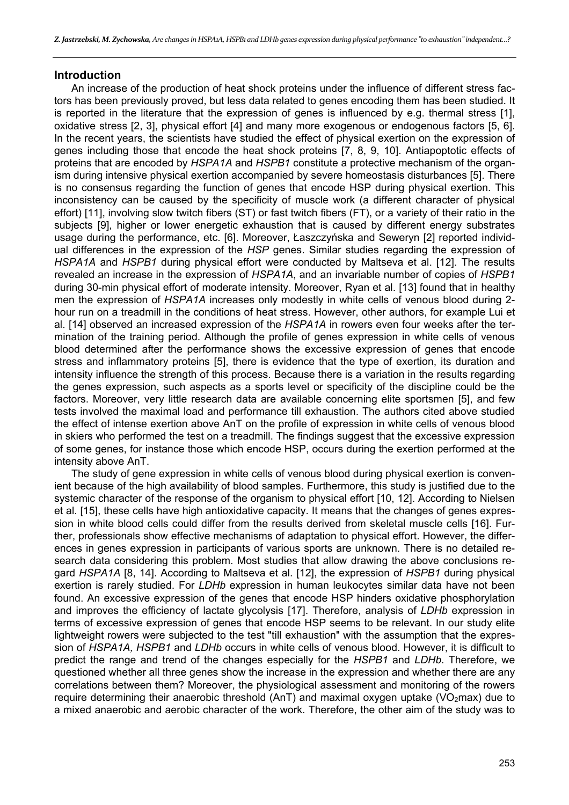#### **Introduction**

An increase of the production of heat shock proteins under the influence of different stress factors has been previously proved, but less data related to genes encoding them has been studied. It is reported in the literature that the expression of genes is influenced by e.g. thermal stress [1], oxidative stress [2, 3], physical effort [4] and many more exogenous or endogenous factors [5, 6]. In the recent years, the scientists have studied the effect of physical exertion on the expression of genes including those that encode the heat shock proteins [7, 8, 9, 10]. Antiapoptotic effects of proteins that are encoded by *HSPA1A* and *HSPB1* constitute a protective mechanism of the organism during intensive physical exertion accompanied by severe homeostasis disturbances [5]. There is no consensus regarding the function of genes that encode HSP during physical exertion. This inconsistency can be caused by the specificity of muscle work (a different character of physical effort) [11], involving slow twitch fibers (ST) or fast twitch fibers (FT), or a variety of their ratio in the subiects [9], higher or lower energetic exhaustion that is caused by different energy substrates usage during the performance, etc. [6]. Moreover, Łaszczyńska and Seweryn [2] reported individual differences in the expression of the *HSP* genes. Similar studies regarding the expression of *HSPA1A* and *HSPB1* during physical effort were conducted by Maltseva et al. [12]. The results revealed an increase in the expression of *HSPA1A*, and an invariable number of copies of *HSPB1* during 30-min physical effort of moderate intensity. Moreover, Ryan et al. [13] found that in healthy men the expression of *HSPA1A* increases only modestly in white cells of venous blood during 2 hour run on a treadmill in the conditions of heat stress. However, other authors, for example Lui et al. [14] observed an increased expression of the *HSPA1A* in rowers even four weeks after the termination of the training period. Although the profile of genes expression in white cells of venous blood determined after the performance shows the excessive expression of genes that encode stress and inflammatory proteins [5], there is evidence that the type of exertion, its duration and intensity influence the strength of this process. Because there is a variation in the results regarding the genes expression, such aspects as a sports level or specificity of the discipline could be the factors. Moreover, very little research data are available concerning elite sportsmen [5], and few tests involved the maximal load and performance till exhaustion. The authors cited above studied the effect of intense exertion above AnT on the profile of expression in white cells of venous blood in skiers who performed the test on a treadmill. The findings suggest that the excessive expression of some genes, for instance those which encode HSP, occurs during the exertion performed at the intensity above AnT.

The study of gene expression in white cells of venous blood during physical exertion is convenient because of the high availability of blood samples. Furthermore, this study is justified due to the systemic character of the response of the organism to physical effort [10, 12]. According to Nielsen et al. [15], these cells have high antioxidative capacity. It means that the changes of genes expression in white blood cells could differ from the results derived from skeletal muscle cells [16]. Further, professionals show effective mechanisms of adaptation to physical effort. However, the differences in genes expression in participants of various sports are unknown. There is no detailed research data considering this problem. Most studies that allow drawing the above conclusions regard *HSPA1A* [8, 14]. According to Maltseva et al. [12], the expression of *HSPB1* during physical exertion is rarely studied. For *LDHb* expression in human leukocytes similar data have not been found. An excessive expression of the genes that encode HSP hinders oxidative phosphorylation and improves the efficiency of lactate glycolysis [17]. Therefore, analysis of *LDHb* expression in terms of excessive expression of genes that encode HSP seems to be relevant. In our study elite lightweight rowers were subjected to the test "till exhaustion" with the assumption that the expression of *HSPA1A, HSPB1* and *LDHb* occurs in white cells of venous blood. However, it is difficult to predict the range and trend of the changes especially for the *HSPB1* and *LDHb*. Therefore, we questioned whether all three genes show the increase in the expression and whether there are any correlations between them? Moreover, the physiological assessment and monitoring of the rowers require determining their anaerobic threshold ( $AnT$ ) and maximal oxygen uptake ( $VO<sub>2</sub>$ max) due to a mixed anaerobic and aerobic character of the work. Therefore, the other aim of the study was to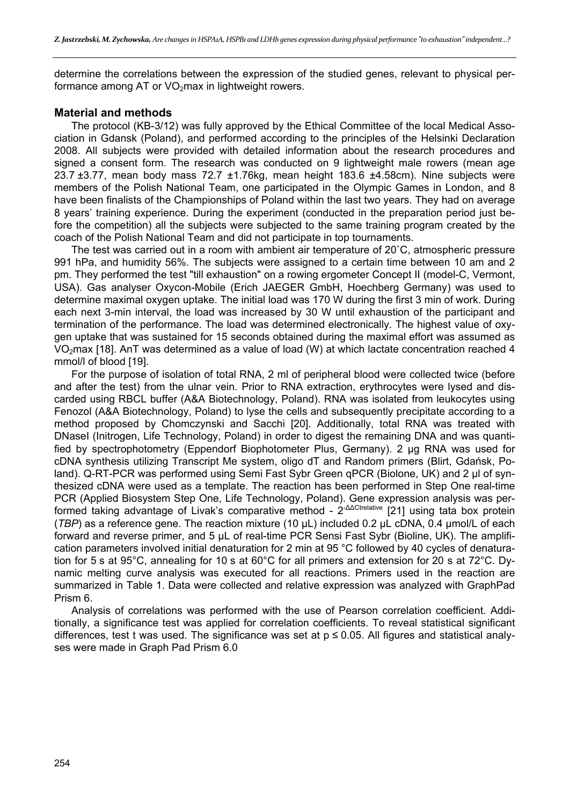determine the correlations between the expression of the studied genes, relevant to physical performance among AT or  $VO<sub>2</sub>$  max in lightweight rowers.

#### **Material and methods**

The protocol (KB-3/12) was fully approved by the Ethical Committee of the local Medical Association in Gdansk (Poland), and performed according to the principles of the Helsinki Declaration 2008. All subjects were provided with detailed information about the research procedures and signed a consent form. The research was conducted on 9 lightweight male rowers (mean age 23.7  $\pm$ 3.77, mean body mass 72.7  $\pm$ 1.76kg, mean height 183.6  $\pm$ 4.58cm). Nine subjects were members of the Polish National Team, one participated in the Olympic Games in London, and 8 have been finalists of the Championships of Poland within the last two years. They had on average 8 years' training experience. During the experiment (conducted in the preparation period just before the competition) all the subjects were subjected to the same training program created by the coach of the Polish National Team and did not participate in top tournaments.

The test was carried out in a room with ambient air temperature of 20˚C, atmospheric pressure 991 hPa, and humidity 56%. The subjects were assigned to a certain time between 10 am and 2 pm. They performed the test "till exhaustion" on a rowing ergometer Concept II (model-C, Vermont, USA). Gas analyser Oxycon-Mobile (Erich JAEGER GmbH, Hoechberg Germany) was used to determine maximal oxygen uptake. The initial load was 170 W during the first 3 min of work. During each next 3-min interval, the load was increased by 30 W until exhaustion of the participant and termination of the performance. The load was determined electronically. The highest value of oxygen uptake that was sustained for 15 seconds obtained during the maximal effort was assumed as VO<sub>2</sub>max [18]. AnT was determined as a value of load (W) at which lactate concentration reached 4 mmol/l of blood [19].

For the purpose of isolation of total RNA, 2 ml of peripheral blood were collected twice (before and after the test) from the ulnar vein. Prior to RNA extraction, erythrocytes were lysed and discarded using RBCL buffer (A&A Biotechnology, Poland). RNA was isolated from leukocytes using Fenozol (A&A Biotechnology, Poland) to lyse the cells and subsequently precipitate according to a method proposed by Chomczynski and Sacchi [20]. Additionally, total RNA was treated with DNaseI (Initrogen, Life Technology, Poland) in order to digest the remaining DNA and was quantified by spectrophotometry (Eppendorf Biophotometer Plus, Germany). 2 µg RNA was used for cDNA synthesis utilizing Transcript Me system, oligo dT and Random primers (Blirt, Gdańsk, Poland). Q-RT-PCR was performed using Semi Fast Sybr Green qPCR (Biolone, UK) and 2 µl of synthesized cDNA were used as a template. The reaction has been performed in Step One real-time PCR (Applied Biosystem Step One, Life Technology, Poland). Gene expression analysis was performed taking advantage of Livak's comparative method - 2<sup>-ΔΔCtrelative</sup> [21] using tata box protein (*TBP*) as a reference gene. The reaction mixture (10 μL) included 0.2 μL cDNA, 0.4 μmol/L of each forward and reverse primer, and 5 μL of real-time PCR Sensi Fast Sybr (Bioline, UK). The amplification parameters involved initial denaturation for 2 min at 95 °C followed by 40 cycles of denaturation for 5 s at 95°C, annealing for 10 s at 60°C for all primers and extension for 20 s at 72°C. Dynamic melting curve analysis was executed for all reactions. Primers used in the reaction are summarized in Table 1. Data were collected and relative expression was analyzed with GraphPad Prism 6.

Analysis of correlations was performed with the use of Pearson correlation coefficient. Additionally, a significance test was applied for correlation coefficients. To reveal statistical significant differences, test t was used. The significance was set at  $p \le 0.05$ . All figures and statistical analyses were made in Graph Pad Prism 6.0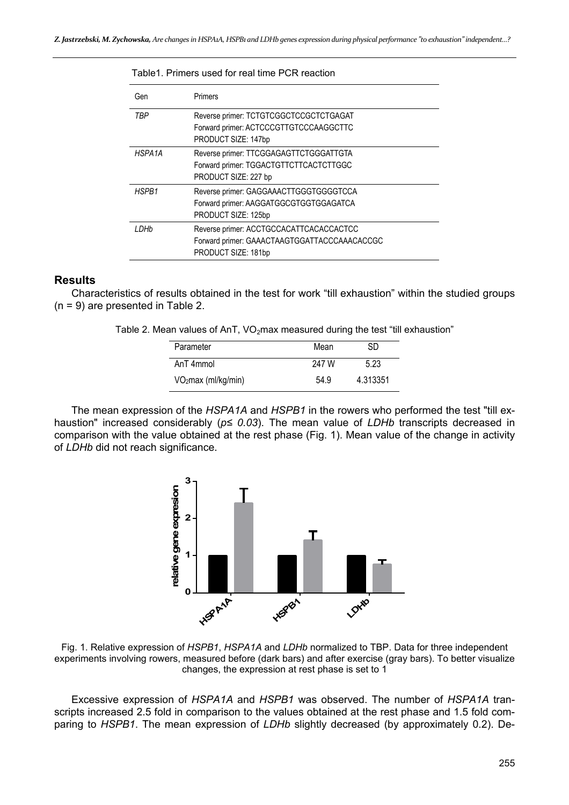| Gen    | Primers                                                                                                        |
|--------|----------------------------------------------------------------------------------------------------------------|
| TRP    | Reverse primer: TCTGTCGGCTCCGCTCTGAGAT<br>Forward primer: ACTCCCGTTGTCCCAAGGCTTC<br>PRODUCT SIZE: 147bp        |
| HSPA1A | Reverse primer: TTCGGAGAGTTCTGGGATTGTA<br>Forward primer: TGGACTGTTCTTCACTCTTGGC<br>PRODUCT SIZE: 227 bp       |
| HSPB1  | Reverse primer: GAGGAAACTTGGGTGGGGTCCA<br>Forward primer: AAGGATGGCGTGGTGGAGATCA<br>PRODUCT SIZE: 125bp        |
| LDHb   | Reverse primer: ACCTGCCACATTCACACCACTCC<br>Forward primer: GAAACTAAGTGGATTACCCAAACACCGC<br>PRODUCT SIZE: 181bp |

#### Table1. Primers used for real time PCR reaction

#### **Results**

Characteristics of results obtained in the test for work "till exhaustion" within the studied groups (n = 9) are presented in Table 2.

Table 2. Mean values of AnT,  $VO<sub>2</sub>$ max measured during the test "till exhaustion"

| Parameter                       | Mean  | SD       |
|---------------------------------|-------|----------|
| AnT 4mmol                       | 247 W | 5.23     |
| VO <sub>2</sub> max (ml/kg/min) | 54.9  | 4.313351 |

The mean expression of the *HSPA1A* and *HSPB1* in the rowers who performed the test "till exhaustion" increased considerably (*p≤ 0.03*). The mean value of *LDHb* transcripts decreased in comparison with the value obtained at the rest phase (Fig. 1). Mean value of the change in activity of *LDHb* did not reach significance.



Fig. 1. Relative expression of *HSPB1*, *HSPA1A* and *LDHb* normalized to TBP. Data for three independent experiments involving rowers, measured before (dark bars) and after exercise (gray bars). To better visualize changes, the expression at rest phase is set to 1

Excessive expression of *HSPA1A* and *HSPB1* was observed. The number of *HSPA1A* transcripts increased 2.5 fold in comparison to the values obtained at the rest phase and 1.5 fold comparing to *HSPB1*. The mean expression of *LDHb* slightly decreased (by approximately 0.2). De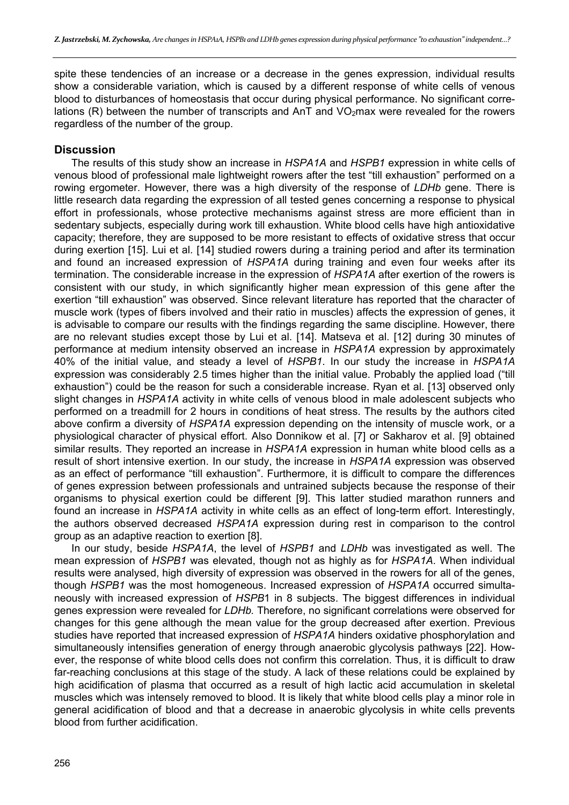spite these tendencies of an increase or a decrease in the genes expression, individual results show a considerable variation, which is caused by a different response of white cells of venous blood to disturbances of homeostasis that occur during physical performance. No significant correlations (R) between the number of transcripts and  $AnT$  and  $VO<sub>2</sub>$  max were revealed for the rowers regardless of the number of the group.

#### **Discussion**

The results of this study show an increase in *HSPA1A* and *HSPB1* expression in white cells of venous blood of professional male lightweight rowers after the test "till exhaustion" performed on a rowing ergometer. However, there was a high diversity of the response of *LDHb* gene. There is little research data regarding the expression of all tested genes concerning a response to physical effort in professionals, whose protective mechanisms against stress are more efficient than in sedentary subjects, especially during work till exhaustion. White blood cells have high antioxidative capacity; therefore, they are supposed to be more resistant to effects of oxidative stress that occur during exertion [15]. Lui et al. [14] studied rowers during a training period and after its termination and found an increased expression of *HSPA1A* during training and even four weeks after its termination. The considerable increase in the expression of *HSPA1A* after exertion of the rowers is consistent with our study, in which significantly higher mean expression of this gene after the exertion "till exhaustion" was observed. Since relevant literature has reported that the character of muscle work (types of fibers involved and their ratio in muscles) affects the expression of genes, it is advisable to compare our results with the findings regarding the same discipline. However, there are no relevant studies except those by Lui et al. [14]. Matseva et al. [12] during 30 minutes of performance at medium intensity observed an increase in *HSPA1A* expression by approximately 40% of the initial value, and steady a level of *HSPB1*. In our study the increase in *HSPA1A* expression was considerably 2.5 times higher than the initial value. Probably the applied load ("till exhaustion") could be the reason for such a considerable increase. Ryan et al. [13] observed only slight changes in *HSPA1A* activity in white cells of venous blood in male adolescent subjects who performed on a treadmill for 2 hours in conditions of heat stress. The results by the authors cited above confirm a diversity of *HSPA1A* expression depending on the intensity of muscle work, or a physiological character of physical effort. Also Donnikow et al. [7] or Sakharov et al. [9] obtained similar results. They reported an increase in *HSPA1A* expression in human white blood cells as a result of short intensive exertion. In our study, the increase in *HSPA1A* expression was observed as an effect of performance "till exhaustion". Furthermore, it is difficult to compare the differences of genes expression between professionals and untrained subjects because the response of their organisms to physical exertion could be different [9]. This latter studied marathon runners and found an increase in *HSPA1A* activity in white cells as an effect of long-term effort. Interestingly, the authors observed decreased *HSPA1A* expression during rest in comparison to the control group as an adaptive reaction to exertion [8].

In our study, beside *HSPA1A*, the level of *HSPB1* and *LDHb* was investigated as well. The mean expression of *HSPB1* was elevated, though not as highly as for *HSPA1A*. When individual results were analysed, high diversity of expression was observed in the rowers for all of the genes, though *HSPB1* was the most homogeneous. Increased expression of *HSPA1A* occurred simultaneously with increased expression of *HSPB*1 in 8 subjects. The biggest differences in individual genes expression were revealed for *LDHb.* Therefore, no significant correlations were observed for changes for this gene although the mean value for the group decreased after exertion. Previous studies have reported that increased expression of *HSPA1A* hinders oxidative phosphorylation and simultaneously intensifies generation of energy through anaerobic glycolysis pathways [22]. However, the response of white blood cells does not confirm this correlation. Thus, it is difficult to draw far-reaching conclusions at this stage of the study. A lack of these relations could be explained by high acidification of plasma that occurred as a result of high lactic acid accumulation in skeletal muscles which was intensely removed to blood. It is likely that white blood cells play a minor role in general acidification of blood and that a decrease in anaerobic glycolysis in white cells prevents blood from further acidification.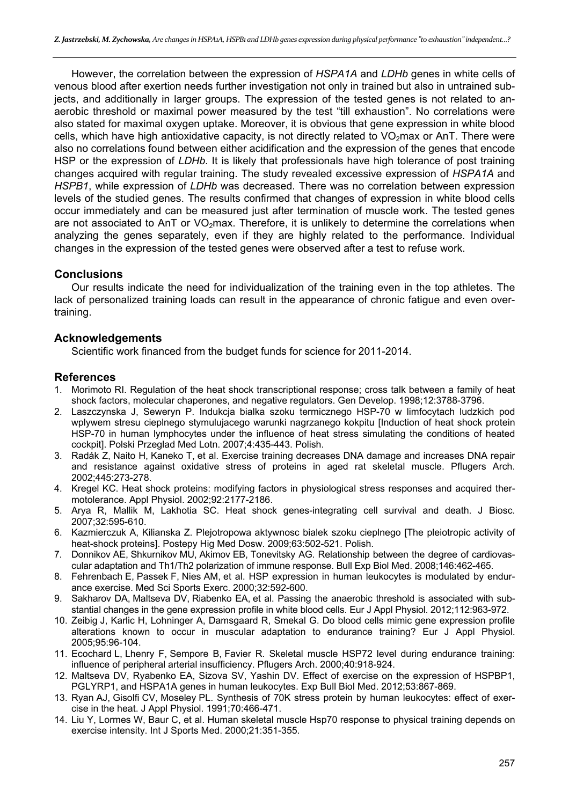However, the correlation between the expression of *HSPA1A* and *LDHb* genes in white cells of venous blood after exertion needs further investigation not only in trained but also in untrained subjects, and additionally in larger groups. The expression of the tested genes is not related to anaerobic threshold or maximal power measured by the test "till exhaustion". No correlations were also stated for maximal oxygen uptake. Moreover, it is obvious that gene expression in white blood cells, which have high antioxidative capacity, is not directly related to  $VO<sub>2</sub>$  max or AnT. There were also no correlations found between either acidification and the expression of the genes that encode HSP or the expression of *LDHb*. It is likely that professionals have high tolerance of post training changes acquired with regular training. The study revealed excessive expression of *HSPA1A* and *HSPB1*, while expression of *LDHb* was decreased. There was no correlation between expression levels of the studied genes. The results confirmed that changes of expression in white blood cells occur immediately and can be measured just after termination of muscle work. The tested genes are not associated to AnT or  $VO<sub>2</sub>max$ . Therefore, it is unlikely to determine the correlations when analyzing the genes separately, even if they are highly related to the performance. Individual changes in the expression of the tested genes were observed after a test to refuse work.

# **Conclusions**

Our results indicate the need for individualization of the training even in the top athletes. The lack of personalized training loads can result in the appearance of chronic fatigue and even overtraining.

# **Acknowledgements**

Scientific work financed from the budget funds for science for 2011-2014.

### **References**

- 1. Morimoto RI. Regulation of the heat shock transcriptional response; cross talk between a family of heat shock factors, molecular chaperones, and negative regulators. Gen Develop. 1998;12:3788-3796.
- 2. Laszczynska J, Seweryn P. Indukcja bialka szoku termicznego HSP-70 w limfocytach ludzkich pod wplywem stresu cieplnego stymulujacego warunki nagrzanego kokpitu [Induction of heat shock protein HSP-70 in human lymphocytes under the influence of heat stress simulating the conditions of heated cockpit]. Polski Przeglad Med Lotn. 2007;4:435-443. Polish.
- 3. Radák Z, Naito H, Kaneko T, et al. Exercise training decreases DNA damage and increases DNA repair and resistance against oxidative stress of proteins in aged rat skeletal muscle. Pflugers Arch. 2002;445:273-278.
- 4. Kregel KC. Heat shock proteins: modifying factors in physiological stress responses and acquired thermotolerance. Appl Physiol. 2002;92:2177-2186.
- 5. Arya R, Mallik M, Lakhotia SC. Heat shock genes-integrating cell survival and death. J Biosc. 2007;32:595-610.
- 6. Kazmierczuk A, Kilianska Z. Plejotropowa aktywnosc bialek szoku cieplnego [The pleiotropic activity of heat-shock proteins]. Postepy Hig Med Dosw. 2009;63:502-521. Polish.
- 7. Donnikov AE, Shkurnikov MU, Akimov EB, Tonevitsky AG. Relationship between the degree of cardiovascular adaptation and Th1/Th2 polarization of immune response. Bull Exp Biol Med. 2008;146:462-465.
- 8. Fehrenbach E, Passek F, Nies AM, et al. HSP expression in human leukocytes is modulated by endurance exercise. Med Sci Sports Exerc. 2000;32:592-600.
- 9. Sakharov DA, Maltseva DV, Riabenko EA, et al. Passing the anaerobic threshold is associated with substantial changes in the gene expression profile in white blood cells. Eur J Appl Physiol. 2012;112:963-972.
- 10. Zeibig J, Karlic H, Lohninger A, Damsgaard R, Smekal G. Do blood cells mimic gene expression profile alterations known to occur in muscular adaptation to endurance training? Eur J Appl Physiol. 2005;95:96-104.
- 11. Ecochard L, Lhenry F, Sempore B, Favier R. Skeletal muscle HSP72 level during endurance training: influence of peripheral arterial insufficiency. Pflugers Arch. 2000;40:918-924.
- 12. Maltseva DV, Ryabenko EA, Sizova SV, Yashin DV. Effect of exercise on the expression of HSPBP1, PGLYRP1, and HSPA1A genes in human leukocytes. Exp Bull Biol Med. 2012;53:867-869.
- 13. Ryan AJ, Gisolfi CV, Moseley PL. Synthesis of 70K stress protein by human leukocytes: effect of exercise in the heat. J Appl Physiol. 1991;70:466-471.
- 14. Liu Y, Lormes W, Baur C, et al. Human skeletal muscle Hsp70 response to physical training depends on exercise intensity. Int J Sports Med. 2000;21:351-355.